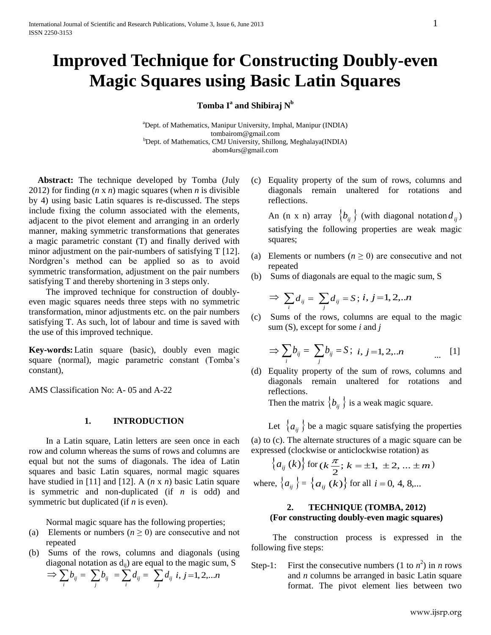# **Improved Technique for Constructing Doubly-even Magic Squares using Basic Latin Squares**

# $\mathbf{Tomba\ I^a\ and\ Shibiraj\ N^b}$

<sup>a</sup>Dept. of Mathematics, Manipur University, Imphal, Manipur (INDIA) [tombairom@gmail.com](mailto:tombairom@gmail.com) <sup>b</sup>Dept. of Mathematics, CMJ University, Shillong, Meghalaya(INDIA) abom4urs@gmail.com

 **Abstract:** The technique developed by Tomba (July 2012) for finding (*n* x *n*) magic squares (when *n* is divisible by 4) using basic Latin squares is re-discussed. The steps include fixing the column associated with the elements, adjacent to the pivot element and arranging in an orderly manner, making symmetric transformations that generates a magic parametric constant (T) and finally derived with minor adjustment on the pair-numbers of satisfying T [12]. Nordgren's method can be applied so as to avoid symmetric transformation, adjustment on the pair numbers satisfying T and thereby shortening in 3 steps only.

The improved technique for construction of doublyeven magic squares needs three steps with no symmetric transformation, minor adjustments etc. on the pair numbers satisfying T. As such, lot of labour and time is saved with the use of this improved technique.

**Key-words:**Latin square (basic), doubly even magic square (normal), magic parametric constant (Tomba's constant),

AMS Classification No: A- 05 and A-22

#### **1. INTRODUCTION**

In a Latin square, Latin letters are seen once in each row and column whereas the sums of rows and columns are equal but not the sums of diagonals. The idea of Latin squares and basic Latin squares, normal magic squares have studied in [11] and [12]. A (*n* x *n*) basic Latin square is symmetric and non-duplicated (if *n* is odd) and symmetric but duplicated (if *n* is even).

Normal magic square has the following properties;

- (a) Elements or numbers  $(n \ge 0)$  are consecutive and not repeated
- (b) Sums of the rows, columns and diagonals (using diagonal notation as  $d_{ii}$ ) are equal to the magic sum, S

$$
\Rightarrow \sum_i b_{ij} = \sum_j b_{ij} = \sum_i d_{ij} = \sum_j d_{ij} \ i, j = 1, 2, \dots n
$$

(c) Equality property of the sum of rows, columns and diagonals remain unaltered for rotations and reflections.

An (n x n) array  $\{b_{ij}\}\$  (with diagonal notation  $d_{ij}$ ) satisfying the following properties are weak magic squares;

- (a) Elements or numbers  $(n \ge 0)$  are consecutive and not repeated
- (b) Sums of diagonals are equal to the magic sum, S

$$
\Rightarrow \sum_{i} d_{ij} = \sum_{j} d_{ij} = S; i, j = 1, 2, \dots n
$$

(c) Sums of the rows, columns are equal to the magic sum (S), except for some *i* and *j*

$$
\Rightarrow \sum_{i} b_{ij} = \sum_{j} b_{ij} = S; \quad i, j = 1, 2, \dots n \quad [1]
$$

(d) Equality property of the sum of rows, columns and diagonals remain unaltered for rotations and reflections.

Then the matrix  $\{b_{ij}\}\$ is a weak magic square.

Let  $\{a_{ij}\}\$ be a magic square satisfying the properties

(a) to (c). The alternate structures of a magic square can be expressed (clockwise or anticlockwise rotation) as

$$
\{a_{ij}(k)\}\n\text{ for } (k\frac{\pi}{2}; k = \pm 1, \pm 2, \dots \pm m)
$$
\nwhere, 
$$
\{a_{ij}\} = \{a_{ij}(k)\}\n\text{ for all } i = 0, 4, 8, \dots
$$

# **2. TECHNIQUE (TOMBA, 2012) (For constructing doubly-even magic squares)**

The construction process is expressed in the following five steps:

Step-1: First the consecutive numbers  $(1 \text{ to } n^2)$  in *n* rows and *n* columns be arranged in basic Latin square format. The pivot element lies between two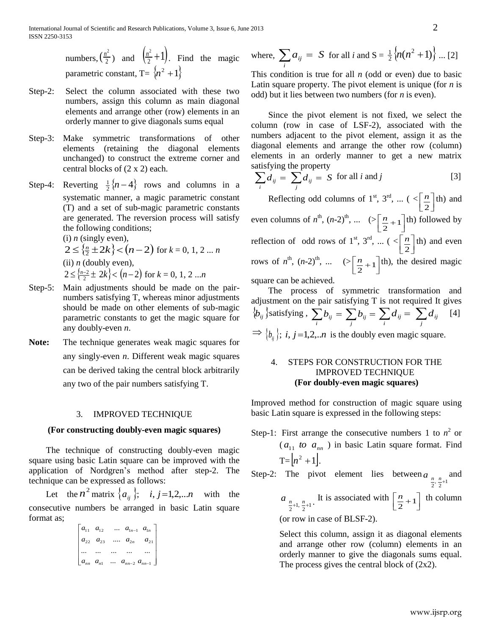numbers,  $\left(\frac{n}{2}\right)$  $\left(\frac{n^2}{2}\right)$  and  $\left(\frac{n^2}{2}+1\right)$ . Find the magic parametric constant,  $T = \{n^2 + 1\}$ 

- Step-2: Select the column associated with these two numbers, assign this column as main diagonal elements and arrange other (row) elements in an orderly manner to give diagonals sums equal
- Step-3: Make symmetric transformations of other elements (retaining the diagonal elements unchanged) to construct the extreme corner and central blocks of (2 x 2) each.
- Step-4: Reverting  $\frac{1}{2}$ {*n* 4} rows and columns in a systematic manner, a magic parametric constant (T) and a set of sub-magic parametric constants are generated. The reversion process will satisfy the following conditions;

(i) *n* (singly even),  $2 \le \{ \frac{n}{2} \pm 2k \} < (n-2)$  for  $k = 0, 1, 2 ... n$ (ii)  $n$  (doubly even),  $2 \le \frac{\lambda^{n-2}}{2} \pm 2k$   $\le (n-2)$  for  $k = 0, 1, 2...n$ 

- Step-5: Main adjustments should be made on the pairnumbers satisfying T, whereas minor adjustments should be made on other elements of sub-magic parametric constants to get the magic square for any doubly-even *n*.
- **Note:** The technique generates weak magic squares for any singly-even *n*. Different weak magic squares can be derived taking the central block arbitrarily any two of the pair numbers satisfying T.

#### 3. IMPROVED TECHNIQUE

#### **(For constructing doubly-even magic squares)**

The technique of constructing doubly-even magic square using basic Latin square can be improved with the application of Nordgren's method after step-2. The technique can be expressed as follows:

Let the  $n^2$  matrix  $\{a_{ij}\}\; ; \quad i, j = 1, 2, \ldots n$  with the consecutive numbers be arranged in basic Latin square format as;

|                   | $a_{11}$ $a_{12}$                               |                                    | $\ldots \quad a_{\mathbf{l}n-1} \quad a_{\mathbf{l}n} \quad  $ |
|-------------------|-------------------------------------------------|------------------------------------|----------------------------------------------------------------|
|                   | $\begin{array}{cc} a_{22} & a_{23} \end{array}$ | $a_{2n}$ $a_{21}$                  |                                                                |
| $\cdots$ $\cdots$ |                                                 |                                    |                                                                |
| $ a_{nn} a_{n1} $ |                                                 | $\ldots \quad a_{nn-2} \ a_{nn-1}$ |                                                                |

where, 
$$
\sum_{i} a_{ij} = S
$$
 for all *i* and  $S = \frac{1}{2} \{n(n^2 + 1)\} \dots [2]$ 

This condition is true for all *n* (odd or even) due to basic Latin square property. The pivot element is unique (for *n* is odd) but it lies between two numbers (for *n* is even).

Since the pivot element is not fixed, we select the column (row in case of LSF-2), associated with the numbers adjacent to the pivot element, assign it as the diagonal elements and arrange the other row (column) elements in an orderly manner to get a new matrix satisfying the property

$$
\sum_{i} d_{ij} = \sum_{j} d_{ij} = S \text{ for all } i \text{ and } j
$$
 [3]

Reflecting odd columns of 1<sup>st</sup>, 3<sup>rd</sup>, ... ( $\leq \left[\frac{n}{2}\right]$ ٦ L Γ  $\overline{2}$  $\frac{n}{n}$  th) and even columns of  $n^{\text{th}}$ ,  $(n-2)^{\text{th}}$ , ...  $(>\left[\frac{n}{2}+1\right]$ ٦ L  $\left[\frac{n}{2}+1\right]$  $\left[\frac{n}{1+1}\right]$ th) followed by reflection of odd rows of 1<sup>st</sup>, 3<sup>rd</sup>, ... ( $\leq \left[\frac{n}{2}\right]$ ן L Γ  $\overline{2}$  $\lfloor n \rfloor$  th) and even rows of  $n^{\text{th}}$ ,  $(n-2)^{\text{th}}$ , ...  $(>\frac{n}{2}+1]$  $\overline{\mathcal{C}}$ L  $\left[\frac{n}{2}+1\right]$  $\left[\frac{n}{1}+1\right]$  (th), the desired magic

square can be achieved.

The process of symmetric transformation and adjustment on the pair satisfying T is not required It gives  $\{\phi_{ij}\}$ satisfying,  $\sum_i b_{ij} = \sum_j b_{ij} = \sum_i d_{ij} = \sum_j$ *ij i*  $d_{ij} = \sum d_{ij}$  [4]  $\Rightarrow$   $\{b_{ij}\}\;$ ; *i*, *j* = 1,2,..*n* is the doubly even magic square.

## 4. STEPS FOR CONSTRUCTION FOR THE IMPROVED TECHNIQUE **(For doubly-even magic squares)**

Improved method for construction of magic square using basic Latin square is expressed in the following steps:

Step-1: First arrange the consecutive numbers 1 to  $n^2$  or  $(a_{11}$  *to*  $a_{nn}$  ) in basic Latin square format. Find  $T = |n^2 + 1|$ .

Step-2: The pivot element lies between  $a_{\frac{n}{2}, \frac{n}{2}+1}$  and  $a_{\frac{n}{2}+1, \frac{n}{2}+1}$ . It is associated with  $\left\lfloor \frac{n}{2}+1 \right\rfloor$  $\overline{\mathcal{C}}$  $\lfloor$  $\left[\frac{n}{2}+1\right]$  $\left[\frac{n}{1+1}\right]$  th column (or row in case of BLSF-2).

> Select this column, assign it as diagonal elements and arrange other row (column) elements in an orderly manner to give the diagonals sums equal. The process gives the central block of (2x2).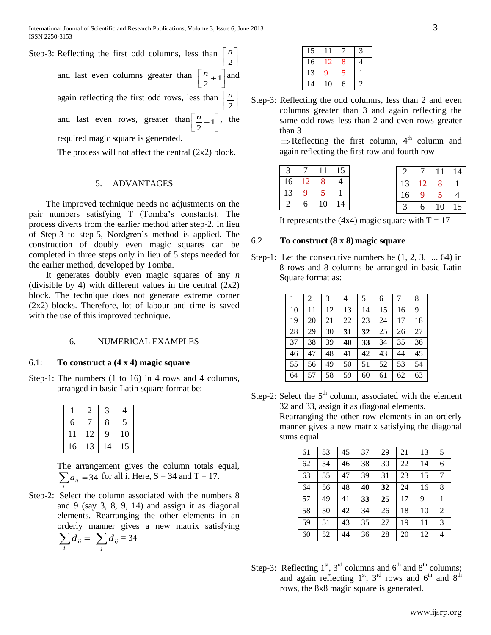| Step-3: Reflecting the first odd columns, less than $\left \frac{n}{2}\right $    |
|-----------------------------------------------------------------------------------|
| and last even columns greater than $\left\lceil \frac{n}{2} + 1 \right\rceil$ and |
| again reflecting the first odd rows, less than $\left  \frac{n}{2} \right $       |
| and last even rows, greater than $\left\lceil \frac{n}{2} + 1 \right\rceil$ , the |
| required magic square is generated.                                               |

The process will not affect the central (2x2) block.

## 5. ADVANTAGES

The improved technique needs no adjustments on the pair numbers satisfying T (Tomba's constants). The process diverts from the earlier method after step-2. In lieu of Step-3 to step-5, Nordgren's method is applied. The construction of doubly even magic squares can be completed in three steps only in lieu of 5 steps needed for the earlier method, developed by Tomba.

It generates doubly even magic squares of any *n* (divisible by 4) with different values in the central  $(2x2)$ block. The technique does not generate extreme corner (2x2) blocks. Therefore, lot of labour and time is saved with the use of this improved technique.

#### 6. NUMERICAL EXAMPLES

#### 6.1: **To construct a (4 x 4) magic square**

Step-1: The numbers  $(1 \text{ to } 16)$  in 4 rows and 4 columns, arranged in basic Latin square format be:

|    | 2  | 3  | 4  |
|----|----|----|----|
| 6  |    | 8  | 5  |
|    | 12 | 9  | 10 |
| 16 | 3  | 14 | 15 |

*i*

The arrangement gives the column totals equal,  $\sum a_{ij} = 34$  for all i. Here, S = 34 and T = 17. *i*

Step-2: Select the column associated with the numbers 8 and 9 (say 3, 8, 9, 14) and assign it as diagonal elements. Rearranging the other elements in an orderly manner gives a new matrix satisfying  $\sum_{i} d_{ij} = \sum_{j}$ *ij*  $d_{ij} = \sum d_{ij} = 34$ 

| 15 |    |   |  |
|----|----|---|--|
| 16 | 12 | 8 |  |
| 13 | 9  |   |  |
| 14 | 10 | 6 |  |

Step-3: Reflecting the odd columns, less than 2 and even columns greater than 3 and again reflecting the same odd rows less than 2 and even rows greater than 3  $\Rightarrow$  Reflecting the first column, 4<sup>th</sup> column and

again reflecting the first row and fourth row

| 3 <sup>1</sup> |    |    | $11 \;   \; 15$ |    |   |
|----------------|----|----|-----------------|----|---|
| 16             | 12 |    |                 | 13 | 2 |
| 13             |    |    |                 | 16 |   |
|                |    | 10 |                 |    |   |

|    |   |    | 14 |
|----|---|----|----|
| 13 |   | 8  |    |
| 16 | 9 | 5  | 4  |
|    | 6 | 10 | l5 |

It represents the (4x4) magic square with  $T = 17$ 

#### 6.2 **To construct (8 x 8) magic square**

Step-1: Let the consecutive numbers be  $(1, 2, 3, \ldots 64)$  in 8 rows and 8 columns be arranged in basic Latin Square format as:

|    | 2  | 3  | 4  | 5  | 6  | 7  | 8  |
|----|----|----|----|----|----|----|----|
| 10 | 11 | 12 | 13 | 14 | 15 | 16 | 9  |
| 19 | 20 | 21 | 22 | 23 | 24 | 17 | 18 |
| 28 | 29 | 30 | 31 | 32 | 25 | 26 | 27 |
| 37 | 38 | 39 | 40 | 33 | 34 | 35 | 36 |
| 46 | 47 | 48 | 41 | 42 | 43 | 44 | 45 |
| 55 | 56 | 49 | 50 | 51 | 52 | 53 | 54 |
| 64 | 57 | 58 | 59 | 60 | 61 | 62 | 63 |

Step-2: Select the  $5<sup>th</sup>$  column, associated with the element 32 and 33, assign it as diagonal elements.

Rearranging the other row elements in an orderly manner gives a new matrix satisfying the diagonal sums equal.

| 53 | 45 | 37 | 29 | 21 | 13 | 5 |
|----|----|----|----|----|----|---|
| 54 | 46 | 38 | 30 | 22 | 14 | 6 |
| 55 | 47 | 39 | 31 | 23 | 15 | 7 |
| 56 | 48 | 40 | 32 | 24 | 16 | 8 |
| 49 | 41 | 33 | 25 | 17 | 9  |   |
| 50 | 42 | 34 | 26 | 18 | 10 | 2 |
| 51 | 43 | 35 | 27 | 19 | 11 | 3 |
| 52 | 44 | 36 | 28 | 20 | 12 | 4 |
|    |    |    |    |    |    |   |

Step-3: Reflecting  $1^{st}$ ,  $3^{rd}$  columns and  $6^{th}$  and  $8^{th}$  columns; and again reflecting  $1<sup>st</sup>$ ,  $3<sup>rd</sup>$  rows and  $6<sup>th</sup>$  and  $8<sup>th</sup>$ rows, the 8x8 magic square is generated.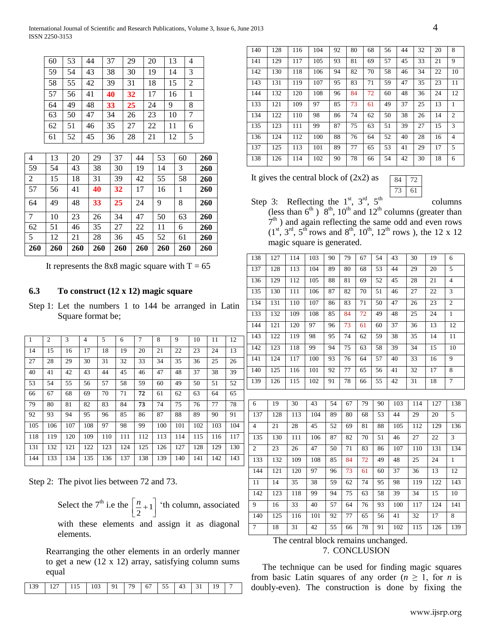| 60 | 53 | 44 | 37 | 29 | 20 | 13 | $\overline{4}$ |
|----|----|----|----|----|----|----|----------------|
| 59 | 54 | 43 | 38 | 30 | 19 | 14 | 3              |
| 58 | 55 | 42 | 39 | 31 | 18 | 15 | 2              |
| 57 | 56 | 41 | 40 | 32 | 17 | 16 |                |
| 64 | 49 | 48 | 33 | 25 | 24 | 9  | 8              |
| 63 | 50 | 47 | 34 | 26 | 23 | 10 | 7              |
| 62 | 51 | 46 | 35 | 27 | 22 | 11 | 6              |
| 61 | 52 | 45 | 36 | 28 | 21 | 12 | 5              |

| 260 | 260 | 260 | 260 | 260 | 260 | 260 | 260 | 260 |
|-----|-----|-----|-----|-----|-----|-----|-----|-----|
| 5   | 12  | 21  | 28  | 36  | 45  | 52  | 61  | 260 |
| 62  | 51  | 46  | 35  | 27  | 22  | 11  | 6   | 260 |
| 7   | 10  | 23  | 26  | 34  | 47  | 50  | 63  | 260 |
| 64  | 49  | 48  | 33  | 25  | 24  | 9   | 8   | 260 |
| 57  | 56  | 41  | 40  | 32  | 17  | 16  | 1   | 260 |
| 2   | 15  | 18  | 31  | 39  | 42  | 55  | 58  | 260 |
| 59  | 54  | 43  | 38  | 30  | 19  | 14  | 3   | 260 |
| 4   | 13  | 20  | 29  | 37  | 44  | 53  | 60  | 260 |

It represents the 8x8 magic square with  $T = 65$ 

# **6.3 To construct (12 x 12) magic square**

Step 1: Let the numbers 1 to 144 be arranged in Latin Square format be;

| $\overline{1}$ | $\overline{c}$ | 3   | 4   | 5   | 6   | $\overline{7}$ | 8   | 9   | 10  | 11  | 12  |
|----------------|----------------|-----|-----|-----|-----|----------------|-----|-----|-----|-----|-----|
| 14             | 15             | 16  | 17  | 18  | 19  | 20             | 21  | 22  | 23  | 24  | 13  |
| 27             | 28             | 29  | 30  | 31  | 32  | 33             | 34  | 35  | 36  | 25  | 26  |
| 40             | 41             | 42  | 43  | 44  | 45  | 46             | 47  | 48  | 37  | 38  | 39  |
| 53             | 54             | 55  | 56  | 57  | 58  | 59             | 60  | 49  | 50  | 51  | 52  |
| 66             | 67             | 68  | 69  | 70  | 71  | 72             | 61  | 62  | 63  | 64  | 65  |
| 79             | 80             | 81  | 82  | 83  | 84  | 73             | 74  | 75  | 76  | 77  | 78  |
| 92             | 93             | 94  | 95  | 96  | 85  | 86             | 87  | 88  | 89  | 90  | 91  |
| 105            | 106            | 107 | 108 | 97  | 98  | 99             | 100 | 101 | 102 | 103 | 104 |
| 118            | 119            | 120 | 109 | 110 | 111 | 112            | 113 | 114 | 115 | 116 | 117 |
| 131            | 132            | 121 | 122 | 123 | 124 | 125            | 126 | 127 | 128 | 129 | 130 |
| 144            | 133            | 134 | 135 | 136 | 137 | 138            | 139 | 140 | 141 | 142 | 143 |

Step 2: The pivot lies between 72 and 73.

Select the  $7^{\text{th}}$  i.e the  $\left\lfloor \frac{n}{2} + 1 \right\rfloor$ ⅂  $\overline{\phantom{a}}$  $\left[\frac{n}{2}+1\right]$  $\left[\frac{n}{n+1}\right]$  'th column, associated

with these elements and assign it as diagonal elements.

Rearranging the other elements in an orderly manner to get a new (12 x 12) array, satisfying column sums equal

| 140 | 128 | 116 | 104 | 92 | 80 | 68 | 56 | 44 | 32 | 20 | 8              |
|-----|-----|-----|-----|----|----|----|----|----|----|----|----------------|
| 141 | 129 | 117 | 105 | 93 | 81 | 69 | 57 | 45 | 33 | 21 | 9              |
| 142 | 130 | 118 | 106 | 94 | 82 | 70 | 58 | 46 | 34 | 22 | 10             |
| 143 | 131 | 119 | 107 | 95 | 83 | 71 | 59 | 47 | 35 | 23 | 11             |
| 144 | 132 | 120 | 108 | 96 | 84 | 72 | 60 | 48 | 36 | 24 | 12             |
| 133 | 121 | 109 | 97  | 85 | 73 | 61 | 49 | 37 | 25 | 13 | 1              |
| 134 | 122 | 110 | 98  | 86 | 74 | 62 | 50 | 38 | 26 | 14 | $\overline{c}$ |
| 135 | 123 | 111 | 99  | 87 | 75 | 63 | 51 | 39 | 27 | 15 | 3              |
| 136 | 124 | 112 | 100 | 88 | 76 | 64 | 52 | 40 | 28 | 16 | 4              |
| 137 | 125 | 113 | 101 | 89 | 77 | 65 | 53 | 41 | 29 | 17 | 5              |
| 138 | 126 | 114 | 102 | 90 | 78 | 66 | 54 | 42 | 30 | 18 | 6              |

It gives the central block of  $(2x2)$  as



Step 3: Reflecting the  $1^{st}$ ,  $3^{rd}$ ,  $5^{th}$ (less than  $6<sup>th</sup>$ )  $8<sup>th</sup>$ ,  $10<sup>th</sup>$  and  $12<sup>th</sup>$  columns (greater than  $7<sup>th</sup>$ ) and again reflecting the same odd and even rows  $(1^{st}, 3^{rd}, 5^{th}$  rows and  $8^{th}$ ,  $10^{th}$ ,  $12^{th}$  rows), the 12 x 12 magic square is generated.

| 138            | 127 | 114 | 103 | 90 | 79 | 67 | 54 | 43  | 30  | 19  | 6                       |
|----------------|-----|-----|-----|----|----|----|----|-----|-----|-----|-------------------------|
| 137            | 128 | 113 | 104 | 89 | 80 | 68 | 53 | 44  | 29  | 20  | 5                       |
| 136            | 129 | 112 | 105 | 88 | 81 | 69 | 52 | 45  | 28  | 21  | $\overline{\mathbf{4}}$ |
| 135            | 130 | 111 | 106 | 87 | 82 | 70 | 51 | 46  | 27  | 22  | 3                       |
| 134            | 131 | 110 | 107 | 86 | 83 | 71 | 50 | 47  | 26  | 23  | $\overline{c}$          |
| 133            | 132 | 109 | 108 | 85 | 84 | 72 | 49 | 48  | 25  | 24  | $\mathbf{1}$            |
| 144            | 121 | 120 | 97  | 96 | 73 | 61 | 60 | 37  | 36  | 13  | 12                      |
| 143            | 122 | 119 | 98  | 95 | 74 | 62 | 59 | 38  | 35  | 14  | 11                      |
| 142            | 123 | 118 | 99  | 94 | 75 | 63 | 58 | 39  | 34  | 15  | 10                      |
| 141            | 124 | 117 | 100 | 93 | 76 | 64 | 57 | 40  | 33  | 16  | 9                       |
| 140            | 125 | 116 | 101 | 92 | 77 | 65 | 56 | 41  | 32  | 17  | 8                       |
| 139            | 126 | 115 | 102 | 91 | 78 | 66 | 55 | 42  | 31  | 18  | $\overline{7}$          |
|                |     |     |     |    |    |    |    |     |     |     |                         |
| 6              | 19  | 30  | 43  | 54 | 67 | 79 | 90 | 103 | 114 | 127 | 138                     |
| 137            | 128 | 113 | 104 | 89 | 80 | 68 | 53 | 44  | 29  | 20  | 5                       |
| $\overline{4}$ | 21  | 28  | 45  | 52 | 69 | 81 | 88 | 105 | 112 | 129 | 136                     |
| 135            | 130 | 111 | 106 | 87 | 82 | 70 | 51 | 46  | 27  | 22  | 3                       |
| $\overline{c}$ | 23  | 26  | 47  | 50 | 71 | 83 | 86 | 107 | 110 | 131 | 134                     |
| 133            | 132 | 109 | 108 | 85 | 84 | 72 | 49 | 48  | 25  | 24  | $\mathbf{1}$            |
| 144            | 121 | 120 | 97  | 96 | 73 | 61 | 60 | 37  | 36  | 13  | 12                      |
| 11             | 14  | 35  | 38  | 59 | 62 | 74 | 95 | 98  | 119 | 122 | 143                     |
| 142            | 123 | 118 | 99  | 94 | 75 | 63 | 58 | 39  | 34  | 15  | 10                      |
| 9              | 16  | 33  | 40  | 57 | 64 | 76 | 93 | 100 | 117 | 124 | 141                     |
| 140            | 125 | 116 | 101 | 92 | 77 | 65 | 56 | 41  | 32  | 17  | 8                       |
| $\overline{7}$ | 18  | 31  | 42  | 55 | 66 | 78 | 91 | 102 | 115 | 126 | 139                     |
|                |     |     |     |    |    |    |    |     |     |     |                         |

# The central block remains unchanged.

7. CONCLUSION

The technique can be used for finding magic squares from basic Latin squares of any order  $(n \geq 1)$ , for *n* is doubly-even). The construction is done by fixing the